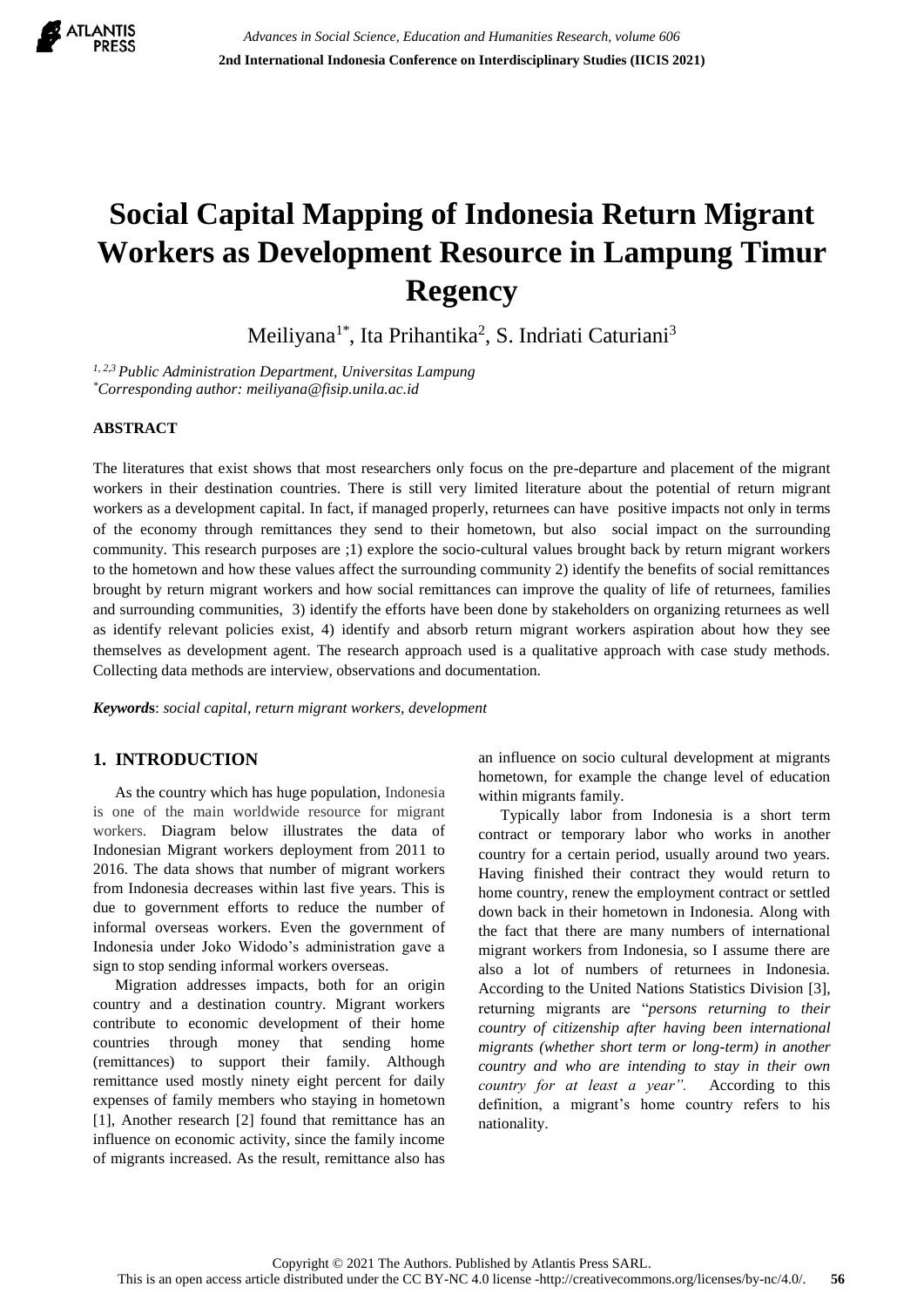

# **Social Capital Mapping of Indonesia Return Migrant Workers as Development Resource in Lampung Timur Regency**

Meiliyana<sup>1\*</sup>, Ita Prihantika<sup>2</sup>, S. Indriati Caturiani<sup>3</sup>

*1, 2,3 Public Administration Department, Universitas Lampung \*Corresponding author: meiliyana@fisip.unila.ac.id*

## **ABSTRACT**

The literatures that exist shows that most researchers only focus on the pre-departure and placement of the migrant workers in their destination countries. There is still very limited literature about the potential of return migrant workers as a development capital. In fact, if managed properly, returnees can have positive impacts not only in terms of the economy through remittances they send to their hometown, but also social impact on the surrounding community. This research purposes are ;1) explore the socio-cultural values brought back by return migrant workers to the hometown and how these values affect the surrounding community 2) identify the benefits of social remittances brought by return migrant workers and how social remittances can improve the quality of life of returnees, families and surrounding communities, 3) identify the efforts have been done by stakeholders on organizing returnees as well as identify relevant policies exist, 4) identify and absorb return migrant workers aspiration about how they see themselves as development agent. The research approach used is a qualitative approach with case study methods. Collecting data methods are interview, observations and documentation.

*Keyword***s**: *social capital, return migrant workers, development*

# **1. INTRODUCTION**

As the country which has huge population, Indonesia is one of the main worldwide resource for migrant workers. Diagram below illustrates the data of Indonesian Migrant workers deployment from 2011 to 2016. The data shows that number of migrant workers from Indonesia decreases within last five years. This is due to government efforts to reduce the number of informal overseas workers. Even the government of Indonesia under Joko Widodo's administration gave a sign to stop sending informal workers overseas.

Migration addresses impacts, both for an origin country and a destination country. Migrant workers contribute to economic development of their home countries through money that sending home (remittances) to support their family. Although remittance used mostly ninety eight percent for daily expenses of family members who staying in hometown [1], Another research [2] found that remittance has an influence on economic activity, since the family income of migrants increased. As the result, remittance also has an influence on socio cultural development at migrants hometown, for example the change level of education within migrants family.

Typically labor from Indonesia is a short term contract or temporary labor who works in another country for a certain period, usually around two years. Having finished their contract they would return to home country, renew the employment contract or settled down back in their hometown in Indonesia. Along with the fact that there are many numbers of international migrant workers from Indonesia, so I assume there are also a lot of numbers of returnees in Indonesia. According to the United Nations Statistics Division [3], returning migrants are "*persons returning to their country of citizenship after having been international migrants (whether short term or long-term) in another country and who are intending to stay in their own country for at least a year".* According to this definition, a migrant's home country refers to his nationality.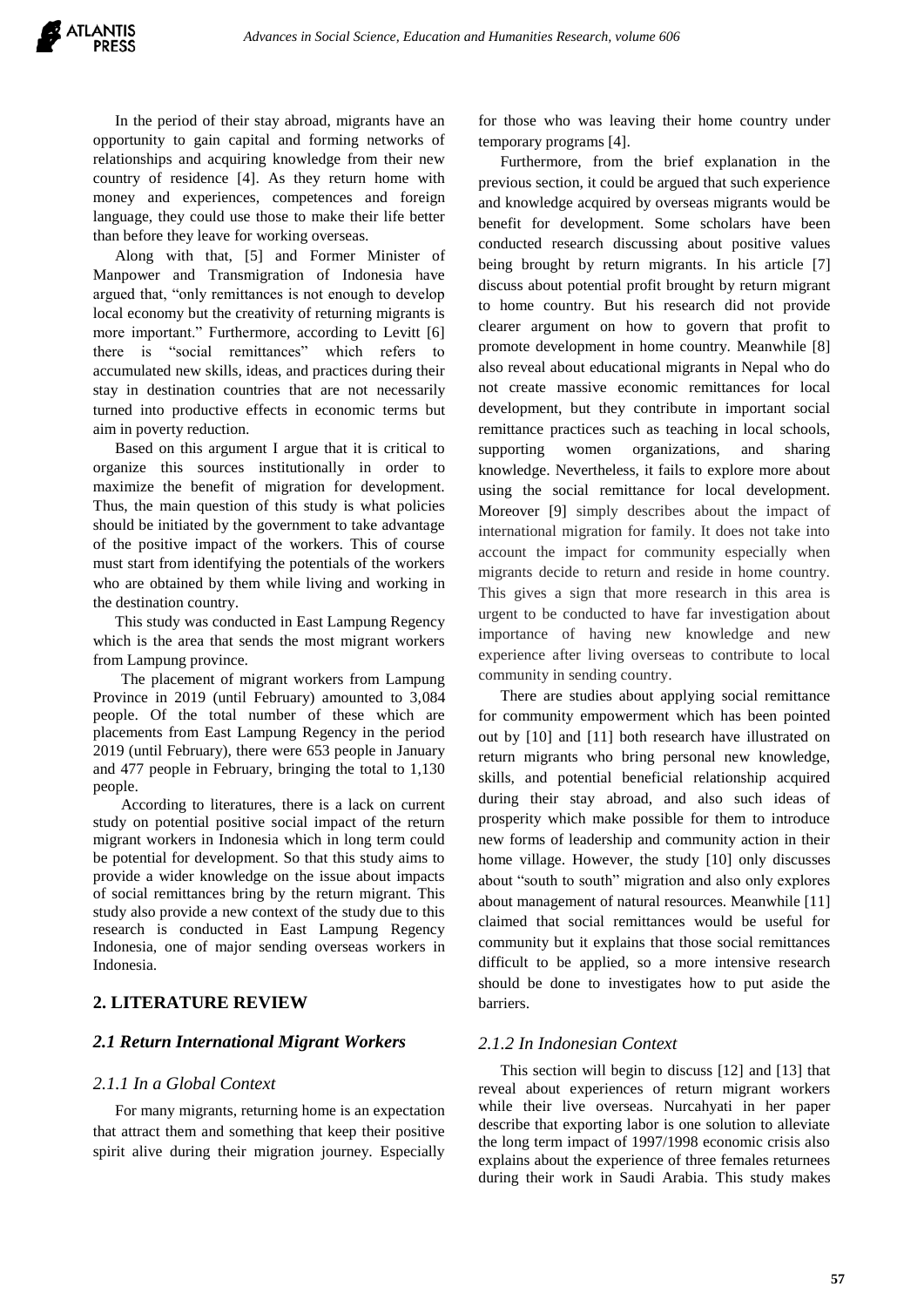In the period of their stay abroad, migrants have an opportunity to gain capital and forming networks of relationships and acquiring knowledge from their new country of residence [4]. As they return home with money and experiences, competences and foreign language, they could use those to make their life better than before they leave for working overseas.

Along with that, [5] and Former Minister of Manpower and Transmigration of Indonesia have argued that, "only remittances is not enough to develop local economy but the creativity of returning migrants is more important." Furthermore, according to Levitt [6] there is "social remittances" which refers to accumulated new skills, ideas, and practices during their stay in destination countries that are not necessarily turned into productive effects in economic terms but aim in poverty reduction.

Based on this argument I argue that it is critical to organize this sources institutionally in order to maximize the benefit of migration for development. Thus, the main question of this study is what policies should be initiated by the government to take advantage of the positive impact of the workers. This of course must start from identifying the potentials of the workers who are obtained by them while living and working in the destination country.

This study was conducted in East Lampung Regency which is the area that sends the most migrant workers from Lampung province.

The placement of migrant workers from Lampung Province in 2019 (until February) amounted to 3,084 people. Of the total number of these which are placements from East Lampung Regency in the period 2019 (until February), there were 653 people in January and 477 people in February, bringing the total to 1,130 people.

According to literatures, there is a lack on current study on potential positive social impact of the return migrant workers in Indonesia which in long term could be potential for development. So that this study aims to provide a wider knowledge on the issue about impacts of social remittances bring by the return migrant. This study also provide a new context of the study due to this research is conducted in East Lampung Regency Indonesia, one of major sending overseas workers in Indonesia.

## **2. LITERATURE REVIEW**

#### *2.1 Return International Migrant Workers*

#### *2.1.1 In a Global Context*

For many migrants, returning home is an expectation that attract them and something that keep their positive spirit alive during their migration journey. Especially for those who was leaving their home country under temporary programs [4].

Furthermore, from the brief explanation in the previous section, it could be argued that such experience and knowledge acquired by overseas migrants would be benefit for development. Some scholars have been conducted research discussing about positive values being brought by return migrants. In his article [7] discuss about potential profit brought by return migrant to home country. But his research did not provide clearer argument on how to govern that profit to promote development in home country. Meanwhile [8] also reveal about educational migrants in Nepal who do not create massive economic remittances for local development, but they contribute in important social remittance practices such as teaching in local schools, supporting women organizations, and sharing knowledge. Nevertheless, it fails to explore more about using the social remittance for local development. Moreover [9] simply describes about the impact of international migration for family. It does not take into account the impact for community especially when migrants decide to return and reside in home country. This gives a sign that more research in this area is urgent to be conducted to have far investigation about importance of having new knowledge and new experience after living overseas to contribute to local community in sending country.

There are studies about applying social remittance for community empowerment which has been pointed out by [10] and [11] both research have illustrated on return migrants who bring personal new knowledge, skills, and potential beneficial relationship acquired during their stay abroad, and also such ideas of prosperity which make possible for them to introduce new forms of leadership and community action in their home village. However, the study [10] only discusses about "south to south" migration and also only explores about management of natural resources. Meanwhile [11] claimed that social remittances would be useful for community but it explains that those social remittances difficult to be applied, so a more intensive research should be done to investigates how to put aside the barriers.

## *2.1.2 In Indonesian Context*

This section will begin to discuss [12] and [13] that reveal about experiences of return migrant workers while their live overseas. Nurcahyati in her paper describe that exporting labor is one solution to alleviate the long term impact of 1997/1998 economic crisis also explains about the experience of three females returnees during their work in Saudi Arabia. This study makes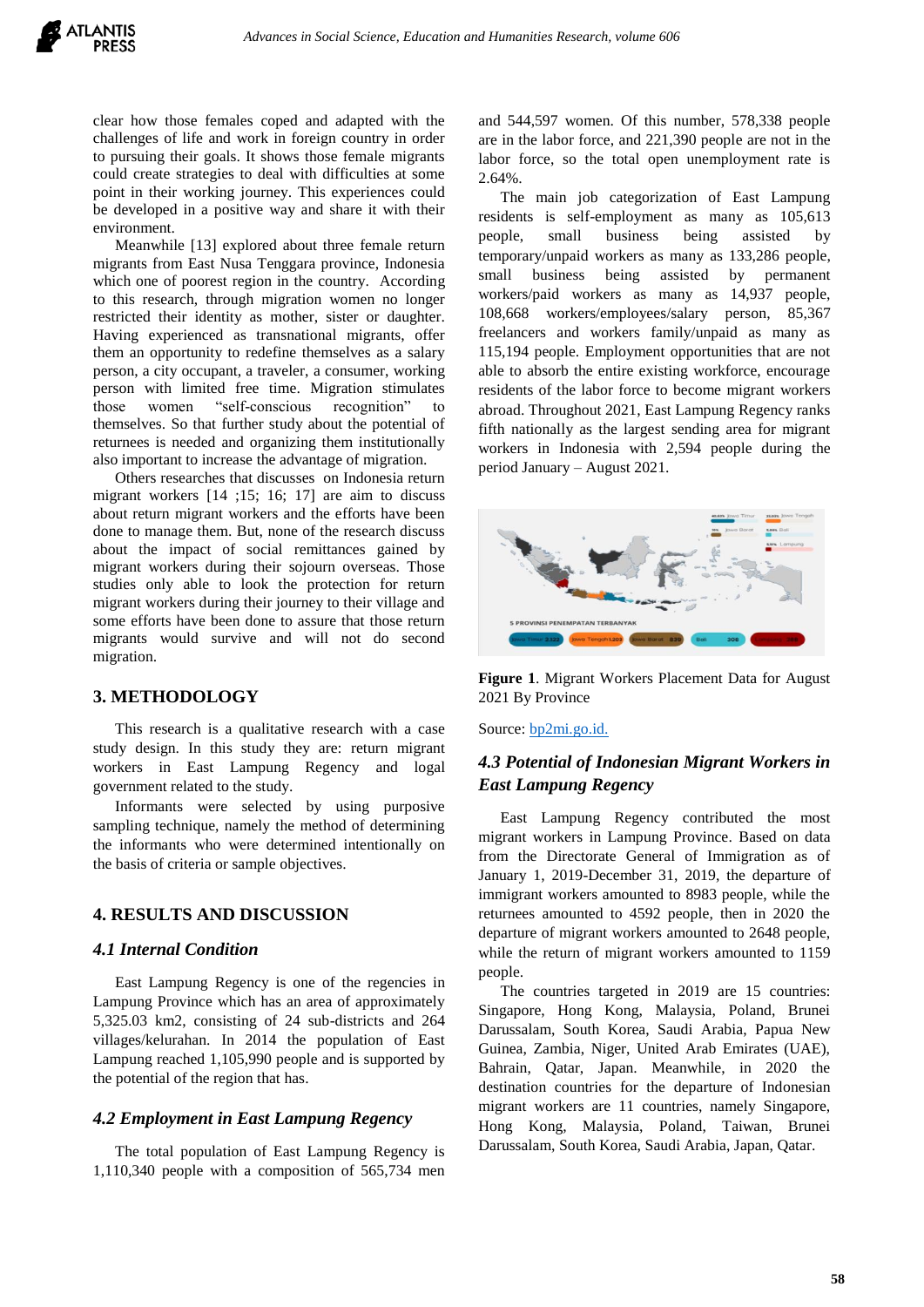clear how those females coped and adapted with the challenges of life and work in foreign country in order to pursuing their goals. It shows those female migrants could create strategies to deal with difficulties at some point in their working journey. This experiences could be developed in a positive way and share it with their environment.

Meanwhile [13] explored about three female return migrants from East Nusa Tenggara province, Indonesia which one of poorest region in the country. According to this research, through migration women no longer restricted their identity as mother, sister or daughter. Having experienced as transnational migrants, offer them an opportunity to redefine themselves as a salary person, a city occupant, a traveler, a consumer, working person with limited free time. Migration stimulates those women "self-conscious recognition" to themselves. So that further study about the potential of returnees is needed and organizing them institutionally also important to increase the advantage of migration.

Others researches that discusses on Indonesia return migrant workers [14 ;15; 16; 17] are aim to discuss about return migrant workers and the efforts have been done to manage them. But, none of the research discuss about the impact of social remittances gained by migrant workers during their sojourn overseas. Those studies only able to look the protection for return migrant workers during their journey to their village and some efforts have been done to assure that those return migrants would survive and will not do second migration.

#### **3. METHODOLOGY**

This research is a qualitative research with a case study design. In this study they are: return migrant workers in East Lampung Regency and logal government related to the study.

Informants were selected by using purposive sampling technique, namely the method of determining the informants who were determined intentionally on the basis of criteria or sample objectives.

## **4. RESULTS AND DISCUSSION**

#### *4.1 Internal Condition*

East Lampung Regency is one of the regencies in Lampung Province which has an area of approximately 5,325.03 km2, consisting of 24 sub-districts and 264 villages/kelurahan. In 2014 the population of East Lampung reached 1,105,990 people and is supported by the potential of the region that has.

# *4.2 Employment in East Lampung Regency*

The total population of East Lampung Regency is 1,110,340 people with a composition of 565,734 men and 544,597 women. Of this number, 578,338 people are in the labor force, and 221,390 people are not in the labor force, so the total open unemployment rate is 2.64%.

The main job categorization of East Lampung residents is self-employment as many as 105,613 people, small business being assisted by temporary/unpaid workers as many as 133,286 people, small business being assisted by permanent workers/paid workers as many as 14,937 people, 108,668 workers/employees/salary person, 85,367 freelancers and workers family/unpaid as many as 115,194 people. Employment opportunities that are not able to absorb the entire existing workforce, encourage residents of the labor force to become migrant workers abroad. Throughout 2021, East Lampung Regency ranks fifth nationally as the largest sending area for migrant workers in Indonesia with 2,594 people during the period January – August 2021.



**Figure 1**. Migrant Workers Placement Data for August 2021 By Province

Source: **[bp2mi.go.id.](https://bp2mi.go.id/uploads/statistik/images/data_15-09-2021_LAPORAN_PENGOLAHAN_DATA_PMI_BULAN_agustus.pdf)** 

# *4.3 Potential of Indonesian Migrant Workers in East Lampung Regency*

East Lampung Regency contributed the most migrant workers in Lampung Province. Based on data from the Directorate General of Immigration as of January 1, 2019-December 31, 2019, the departure of immigrant workers amounted to 8983 people, while the returnees amounted to 4592 people, then in 2020 the departure of migrant workers amounted to 2648 people, while the return of migrant workers amounted to 1159 people.

The countries targeted in 2019 are 15 countries: Singapore, Hong Kong, Malaysia, Poland, Brunei Darussalam, South Korea, Saudi Arabia, Papua New Guinea, Zambia, Niger, United Arab Emirates (UAE), Bahrain, Qatar, Japan. Meanwhile, in 2020 the destination countries for the departure of Indonesian migrant workers are 11 countries, namely Singapore, Hong Kong, Malaysia, Poland, Taiwan, Brunei Darussalam, South Korea, Saudi Arabia, Japan, Qatar.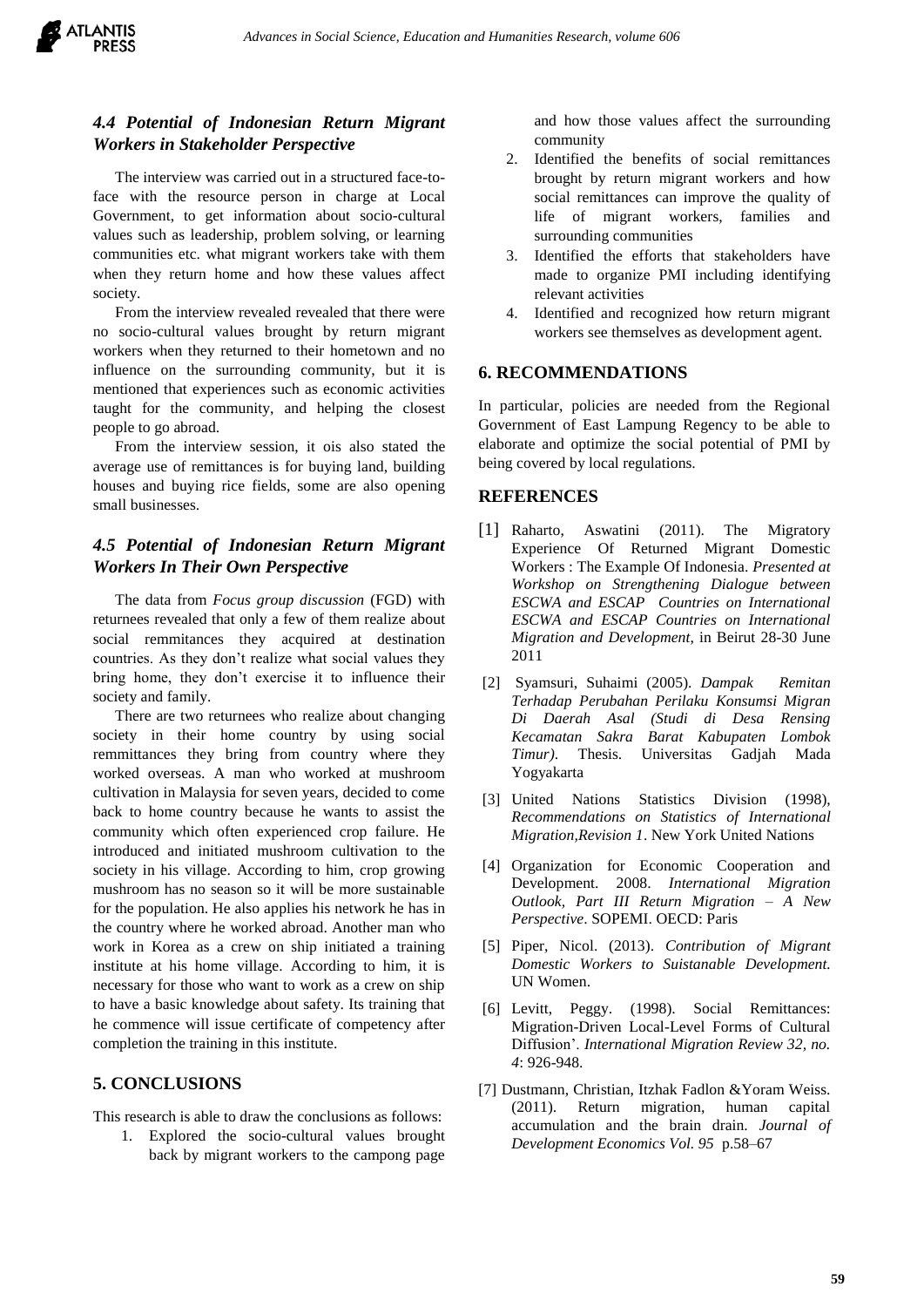

# *4.4 Potential of Indonesian Return Migrant Workers in Stakeholder Perspective*

The interview was carried out in a structured face-toface with the resource person in charge at Local Government, to get information about socio-cultural values such as leadership, problem solving, or learning communities etc. what migrant workers take with them when they return home and how these values affect society.

From the interview revealed revealed that there were no socio-cultural values brought by return migrant workers when they returned to their hometown and no influence on the surrounding community, but it is mentioned that experiences such as economic activities taught for the community, and helping the closest people to go abroad.

From the interview session, it ois also stated the average use of remittances is for buying land, building houses and buying rice fields, some are also opening small businesses.

# *4.5 Potential of Indonesian Return Migrant Workers In Their Own Perspective*

The data from *Focus group discussion* (FGD) with returnees revealed that only a few of them realize about social remmitances they acquired at destination countries. As they don't realize what social values they bring home, they don't exercise it to influence their society and family.

There are two returnees who realize about changing society in their home country by using social remmittances they bring from country where they worked overseas. A man who worked at mushroom cultivation in Malaysia for seven years, decided to come back to home country because he wants to assist the community which often experienced crop failure. He introduced and initiated mushroom cultivation to the society in his village. According to him, crop growing mushroom has no season so it will be more sustainable for the population. He also applies his network he has in the country where he worked abroad. Another man who work in Korea as a crew on ship initiated a training institute at his home village. According to him, it is necessary for those who want to work as a crew on ship to have a basic knowledge about safety. Its training that he commence will issue certificate of competency after completion the training in this institute.

# **5. CONCLUSIONS**

This research is able to draw the conclusions as follows:

1. Explored the socio-cultural values brought back by migrant workers to the campong page

and how those values affect the surrounding community

- 2. Identified the benefits of social remittances brought by return migrant workers and how social remittances can improve the quality of life of migrant workers, families and surrounding communities
- 3. Identified the efforts that stakeholders have made to organize PMI including identifying relevant activities
- 4. Identified and recognized how return migrant workers see themselves as development agent.

## **6. RECOMMENDATIONS**

In particular, policies are needed from the Regional Government of East Lampung Regency to be able to elaborate and optimize the social potential of PMI by being covered by local regulations.

## **REFERENCES**

- [1] Raharto, Aswatini (2011). The Migratory Experience Of Returned Migrant Domestic Workers : The Example Of Indonesia. *Presented at Workshop on Strengthening Dialogue between ESCWA and ESCAP Countries on International ESCWA and ESCAP Countries on International Migration and Development*, in Beirut 28-30 June 2011
- [2] Syamsuri, Suhaimi (2005). *Dampak Remitan Terhadap Perubahan Perilaku Konsumsi Migran Di Daerah Asal (Studi di Desa Rensing Kecamatan Sakra Barat Kabupaten Lombok Timur)*. Thesis. Universitas Gadjah Mada Yogyakarta
- [3] United Nations Statistics Division (1998), *Recommendations on Statistics of International Migration,Revision 1*. New York United Nations
- [4] Organization for Economic Cooperation and Development. 2008. *International Migration Outlook, Part III Return Migration – A New Perspective*. SOPEMI. OECD: Paris
- [5] Piper, Nicol. (2013). *Contribution of Migrant Domestic Workers to Suistanable Development.*  UN Women.
- [6] Levitt, Peggy. (1998). Social Remittances: Migration-Driven Local-Level Forms of Cultural Diffusion'. *International Migration Review 32, no. 4*: 926-948.
- [7] Dustmann, Christian, Itzhak Fadlon &Yoram Weiss. (2011). Return migration, human capital accumulation and the brain drain. *Journal of Development Economics Vol. 95* p.58–67